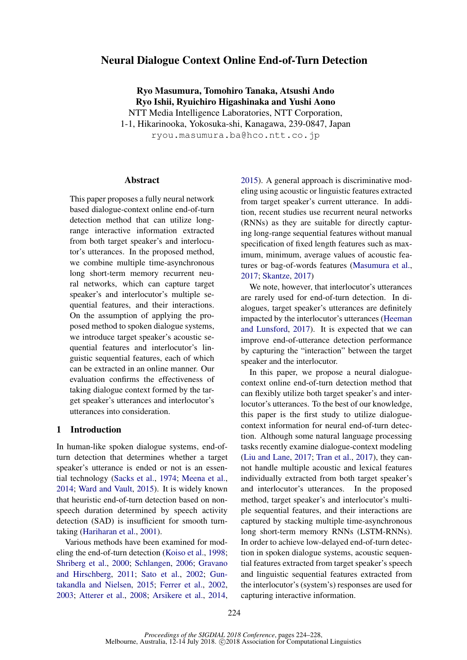# Neural Dialogue Context Online End-of-Turn Detection

Ryo Masumura, Tomohiro Tanaka, Atsushi Ando Ryo Ishii, Ryuichiro Higashinaka and Yushi Aono NTT Media Intelligence Laboratories, NTT Corporation, 1-1, Hikarinooka, Yokosuka-shi, Kanagawa, 239-0847, Japan ryou.masumura.ba@hco.ntt.co.jp

## Abstract

This paper proposes a fully neural network based dialogue-context online end-of-turn detection method that can utilize longrange interactive information extracted from both target speaker's and interlocutor's utterances. In the proposed method, we combine multiple time-asynchronous long short-term memory recurrent neural networks, which can capture target speaker's and interlocutor's multiple sequential features, and their interactions. On the assumption of applying the proposed method to spoken dialogue systems, we introduce target speaker's acoustic sequential features and interlocutor's linguistic sequential features, each of which can be extracted in an online manner. Our evaluation confirms the effectiveness of taking dialogue context formed by the target speaker's utterances and interlocutor's utterances into consideration.

## 1 Introduction

In human-like spoken dialogue systems, end-ofturn detection that determines whether a target speaker's utterance is ended or not is an essential technology [\(Sacks et al.,](#page-4-0) [1974;](#page-4-0) [Meena et al.,](#page-4-1) [2014;](#page-4-1) [Ward and Vault,](#page-4-2) [2015\)](#page-4-2). It is widely known that heuristic end-of-turn detection based on nonspeech duration determined by speech activity detection (SAD) is insufficient for smooth turntaking [\(Hariharan et al.,](#page-4-3) [2001\)](#page-4-3).

Various methods have been examined for modeling the end-of-turn detection [\(Koiso et al.,](#page-4-4) [1998;](#page-4-4) [Shriberg et al.,](#page-4-5) [2000;](#page-4-5) [Schlangen,](#page-4-6) [2006;](#page-4-6) [Gravano](#page-4-7) [and Hirschberg,](#page-4-7) [2011;](#page-4-7) [Sato et al.,](#page-4-8) [2002;](#page-4-8) [Gun](#page-4-9)[takandla and Nielsen,](#page-4-9) [2015;](#page-4-9) [Ferrer et al.,](#page-4-10) [2002,](#page-4-10) [2003;](#page-4-11) [Atterer et al.,](#page-4-12) [2008;](#page-4-12) [Arsikere et al.,](#page-4-13) [2014,](#page-4-13)

[2015\)](#page-4-14). A general approach is discriminative modeling using acoustic or linguistic features extracted from target speaker's current utterance. In addition, recent studies use recurrent neural networks (RNNs) as they are suitable for directly capturing long-range sequential features without manual specification of fixed length features such as maximum, minimum, average values of acoustic features or bag-of-words features [\(Masumura et al.,](#page-4-15) [2017;](#page-4-15) [Skantze,](#page-4-16) [2017\)](#page-4-16)

We note, however, that interlocutor's utterances are rarely used for end-of-turn detection. In dialogues, target speaker's utterances are definitely impacted by the interlocutor's utterances [\(Heeman](#page-4-17) [and Lunsford,](#page-4-17) [2017\)](#page-4-17). It is expected that we can improve end-of-utterance detection performance by capturing the "interaction" between the target speaker and the interlocutor.

In this paper, we propose a neural dialoguecontext online end-of-turn detection method that can flexibly utilize both target speaker's and interlocutor's utterances. To the best of our knowledge, this paper is the first study to utilize dialoguecontext information for neural end-of-turn detection. Although some natural language processing tasks recently examine dialogue-context modeling [\(Liu and Lane,](#page-4-18) [2017;](#page-4-18) [Tran et al.,](#page-4-19) [2017\)](#page-4-19), they cannot handle multiple acoustic and lexical features individually extracted from both target speaker's and interlocutor's utterances. In the proposed method, target speaker's and interlocutor's multiple sequential features, and their interactions are captured by stacking multiple time-asynchronous long short-term memory RNNs (LSTM-RNNs). In order to achieve low-delayed end-of-turn detection in spoken dialogue systems, acoustic sequential features extracted from target speaker's speech and linguistic sequential features extracted from the interlocutor's (system's) responses are used for capturing interactive information.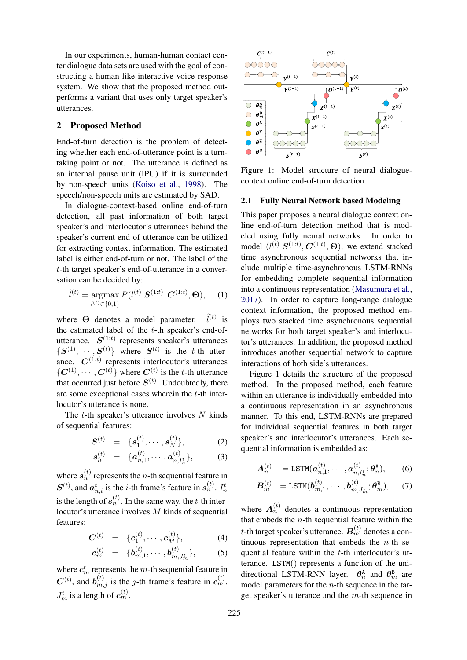In our experiments, human-human contact center dialogue data sets are used with the goal of constructing a human-like interactive voice response system. We show that the proposed method outperforms a variant that uses only target speaker's utterances.

## 2 Proposed Method

End-of-turn detection is the problem of detecting whether each end-of-utterance point is a turntaking point or not. The utterance is defined as an internal pause unit (IPU) if it is surrounded by non-speech units [\(Koiso et al.,](#page-4-4) [1998\)](#page-4-4). The speech/non-speech units are estimated by SAD.

In dialogue-context-based online end-of-turn detection, all past information of both target speaker's and interlocutor's utterances behind the speaker's current end-of-utterance can be utilized for extracting context information. The estimated label is either end-of-turn or not. The label of the t-th target speaker's end-of-utterance in a conversation can be decided by:

$$
\hat{l}^{(t)} = \underset{l^{(t)} \in \{0,1\}}{\operatorname{argmax}} P(l^{(t)} | \mathbf{S}^{(1:t)}, \mathbf{C}^{(1:t)}, \Theta), \quad (1)
$$

where  $\Theta$  denotes a model parameter.  $\hat{l}^{(t)}$  is the estimated label of the t-th speaker's end-ofutterance.  $S^{(1:t)}$  represents speaker's utterances  $\{S^{(1)}, \cdots, S^{(t)}\}\$  where  $S^{(t)}$  is the t-th utterance.  $C^{(1:t)}$  represents interlocutor's utterances  $\{C^{(1)}, \cdots, C^{(t)}\}$  where  $C^{(t)}$  is the t-th utterance that occurred just before  $S^{(t)}$ . Undoubtedly, there are some exceptional cases wherein the t-th interlocutor's utterance is none.

The  $t$ -th speaker's utterance involves  $N$  kinds of sequential features:

$$
\boldsymbol{S}^{(t)} = \{ \boldsymbol{s}_1^{(t)}, \cdots, \boldsymbol{s}_N^{(t)} \}, \tag{2}
$$

$$
\boldsymbol{s}_n^{(t)} = \{ \boldsymbol{a}_{n,1}^{(t)}, \cdots, \boldsymbol{a}_{n,I_n^t}^{(t)} \}, \quad (3)
$$

where  $s_n^{(t)}$  represents the *n*-th sequential feature in  $S^{(t)}$ , and  $a_{n,i}^t$  is the *i*-th frame's feature in  $s_n^{(t)}$ .  $I_n^t$ is the length of  $s_n^{(t)}$ . In the same way, the t-th interlocutor's utterance involves M kinds of sequential features:

$$
C^{(t)} = \{c_1^{(t)}, \cdots, c_M^{(t)}\}, \qquad (4)
$$

$$
\boldsymbol{c}_{m}^{(t)} = \{ \boldsymbol{b}_{m,1}^{(t)}, \cdots, \boldsymbol{b}_{m,J_{m}^{t}}^{(t)} \}, \qquad (5)
$$

where  $c_m^t$  represents the m-th sequential feature in  $C^{(t)}$ , and  $b_{m,j}^{(t)}$  is the j-th frame's feature in  $c_m^{(t)}$ .  $J_m^t$  is a length of  $c_m^{(t)}$ .



Figure 1: Model structure of neural dialoguecontext online end-of-turn detection.

### 2.1 Fully Neural Network based Modeling

This paper proposes a neural dialogue context online end-of-turn detection method that is modeled using fully neural networks. In order to model  $(l^{(t)}|S^{(1:t)}, C^{(1:t)}, \Theta)$ , we extend stacked time asynchronous sequential networks that include multiple time-asynchronous LSTM-RNNs for embedding complete sequential information into a continuous representation [\(Masumura et al.,](#page-4-15) [2017\)](#page-4-15). In order to capture long-range dialogue context information, the proposed method employs two stacked time asynchronous sequential networks for both target speaker's and interlocutor's utterances. In addition, the proposed method introduces another sequential network to capture interactions of both side's utterances.

Figure 1 details the structure of the proposed method. In the proposed method, each feature within an utterance is individually embedded into a continuous representation in an asynchronous manner. To this end, LSTM-RNNs are prepared for individual sequential features in both target speaker's and interlocutor's utterances. Each sequential information is embedded as:

$$
\mathbf{A}_n^{(t)} = \text{LSTM}(\boldsymbol{a}_{n,1}^{(t)}, \cdots, \boldsymbol{a}_{n,I_n^t}^{(t)}; \boldsymbol{\theta}_n^{\text{A}}), \quad (6)
$$

$$
\boldsymbol{B}_{m}^{(t)} = \texttt{LSTM}(\boldsymbol{b}_{m,1}^{(t)}, \cdots, \boldsymbol{b}_{m,J_{m}^{t}}^{(t)}; \boldsymbol{\theta}_{m}^{\texttt{B}}), \quad (7)
$$

where  $A_n^{(t)}$  denotes a continuous representation that embeds the  $n$ -th sequential feature within the t-th target speaker's utterance.  $\boldsymbol{B}^{(t)}_{m}$  denotes a continuous representation that embeds the  $n$ -th sequential feature within the t-th interlocutor's utterance. LSTM() represents a function of the unidirectional LSTM-RNN layer.  $\theta_n^{\text{A}}$  and  $\theta_m^{\text{B}}$  are model parameters for the  $n$ -th sequence in the target speaker's utterance and the m-th sequence in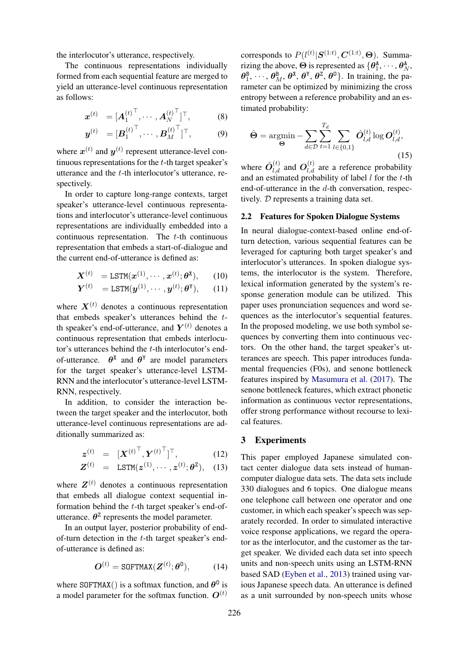the interlocutor's utterance, respectively.

The continuous representations individually formed from each sequential feature are merged to yield an utterance-level continuous representation as follows:

$$
\boldsymbol{x}^{(t)} = [\boldsymbol{A}_1^{(t)}^\top, \cdots, \boldsymbol{A}_N^{(t)}^\top]^\top, \tag{8}
$$

$$
\boldsymbol{y}^{(t)} = [\boldsymbol{B}_1^{(t)}^\top, \cdots, \boldsymbol{B}_M^{(t)}^\top]^\top, \tag{9}
$$

where  $x^{(t)}$  and  $y^{(t)}$  represent utterance-level continuous representations for the t-th target speaker's utterance and the t-th interlocutor's utterance, respectively.

In order to capture long-range contexts, target speaker's utterance-level continuous representations and interlocutor's utterance-level continuous representations are individually embedded into a continuous representation. The  $t$ -th continuous representation that embeds a start-of-dialogue and the current end-of-utterance is defined as:

$$
\boldsymbol{X}^{(t)} = \text{LSTM}(\boldsymbol{x}^{(1)}, \cdots, \boldsymbol{x}^{(t)}; \boldsymbol{\theta}^{\mathbf{X}}), \qquad (10)
$$

$$
\boldsymbol{Y}^{(t)} = \texttt{LSTM}(\boldsymbol{y}^{(1)}, \cdots, \boldsymbol{y}^{(t)}; \boldsymbol{\theta}^{\texttt{Y}}), \qquad (11)
$$

where  $X^{(t)}$  denotes a continuous representation that embeds speaker's utterances behind the tth speaker's end-of-utterance, and  $Y^{(t)}$  denotes a continuous representation that embeds interlocutor's utterances behind the  $t$ -th interlocutor's endof-utterance.  $\theta^{\text{x}}$  and  $\theta^{\text{y}}$  are model parameters for the target speaker's utterance-level LSTM-RNN and the interlocutor's utterance-level LSTM-RNN, respectively.

In addition, to consider the interaction between the target speaker and the interlocutor, both utterance-level continuous representations are additionally summarized as:

$$
\boldsymbol{z}^{(t)} = [\boldsymbol{X}^{(t)}^\top, \boldsymbol{Y}^{(t)}^\top]^\top, \tag{12}
$$

$$
\mathbf{Z}^{(t)} = \mathsf{LSTM}(\mathbf{z}^{(1)}, \cdots, \mathbf{z}^{(t)}; \boldsymbol{\theta}^{\mathbf{Z}}), \quad (13)
$$

where  $Z^{(t)}$  denotes a continuous representation that embeds all dialogue context sequential information behind the t-th target speaker's end-ofutterance.  $\theta^2$  represents the model parameter.

In an output layer, posterior probability of endof-turn detection in the  $t$ -th target speaker's endof-utterance is defined as:

$$
\boldsymbol{O}^{(t)} = \text{SOFTMAX}(\boldsymbol{Z}^{(t)}; \boldsymbol{\theta}^0), \quad (14)
$$

where SOFTMAX() is a softmax function, and  $\theta^0$  is a model parameter for the softmax function.  $\mathbf{O}^{(t)}$ 

corresponds to  $P(l^{(t)} | \mathcal{S}^{(1:t)}, \mathbf{C}^{(1:t)}, \Theta)$ . Summarizing the above,  $\Theta$  is represented as  $\{\theta_1^{\text{A}}, \cdots, \theta_N^{\text{A}}\}$  $\theta_1^{\text{B}}, \dots, \theta_M^{\text{B}}, \theta^{\text{X}}, \theta^{\text{Y}}, \theta^{\text{Z}}, \theta^{\text{O}}\}$ . In training, the parameter can be optimized by minimizing the cross entropy between a reference probability and an estimated probability:

$$
\hat{\Theta} = \underset{\Theta}{\text{argmin}} - \sum_{d \in \mathcal{D}} \sum_{t=1}^{T_d} \sum_{l \in \{0,1\}} \hat{O}_{l,d}^{(t)} \log O_{l,d}^{(t)},
$$
\n(15)

where  $\hat{O}_{l,d}^{(t)}$  and  $O_{l,d}^{(t)}$  are a reference probability and an estimated probability of label  $l$  for the  $t$ -th end-of-utterance in the d-th conversation, respectively. D represents a training data set.

#### 2.2 Features for Spoken Dialogue Systems

In neural dialogue-context-based online end-ofturn detection, various sequential features can be leveraged for capturing both target speaker's and interlocutor's utterances. In spoken dialogue systems, the interlocutor is the system. Therefore, lexical information generated by the system's response generation module can be utilized. This paper uses pronunciation sequences and word sequences as the interlocutor's sequential features. In the proposed modeling, we use both symbol sequences by converting them into continuous vectors. On the other hand, the target speaker's utterances are speech. This paper introduces fundamental frequencies (F0s), and senone bottleneck features inspired by [Masumura et al.](#page-4-15) [\(2017\)](#page-4-15). The senone bottleneck features, which extract phonetic information as continuous vector representations, offer strong performance without recourse to lexical features.

## 3 Experiments

This paper employed Japanese simulated contact center dialogue data sets instead of humancomputer dialogue data sets. The data sets include 330 dialogues and 6 topics. One dialogue means one telephone call between one operator and one customer, in which each speaker's speech was separately recorded. In order to simulated interactive voice response applications, we regard the operator as the interlocutor, and the customer as the target speaker. We divided each data set into speech units and non-speech units using an LSTM-RNN based SAD [\(Eyben et al.,](#page-4-20) [2013\)](#page-4-20) trained using various Japanese speech data. An utterance is defined as a unit surrounded by non-speech units whose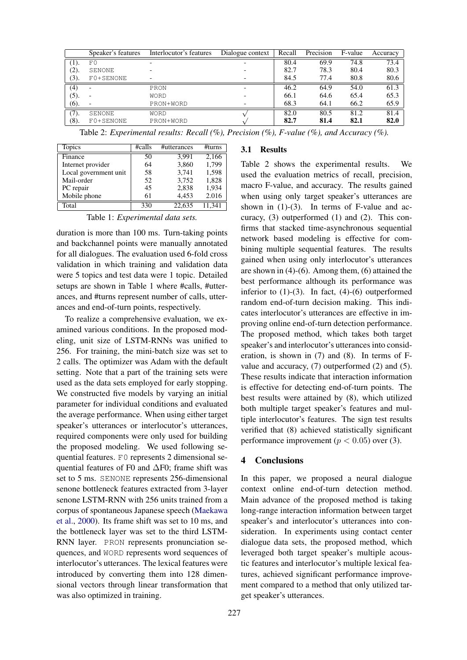|      | Speaker's features       | Interlocutor's features | Dialogue context | Recall | Precision | F-value | Accuracy |
|------|--------------------------|-------------------------|------------------|--------|-----------|---------|----------|
| (1). | F()                      |                         |                  | 80.4   | 69.9      | 74.8    | 73.4     |
| (2). | SENONE                   |                         |                  | 82.7   | 78.3      | 80.4    | 80.3     |
| (3). | F0+SENONE                |                         |                  | 84.5   | 77.4      | 80.8    | 80.6     |
| (4)  | $\overline{\phantom{0}}$ | PRON                    |                  | 46.2   | 64.9      | 54.0    | 61.3     |
| (5). |                          | <b>WORD</b>             |                  | 66.1   | 64.6      | 65.4    | 65.3     |
| (6). |                          | PRON+WORD               |                  | 68.3   | 64.1      | 66.2    | 65.9     |
| (7). | SENONE                   | <b>WORD</b>             |                  | 82.0   | 80.5      | 81.2    | 81.4     |
| (8). | F0+SENONE                | PRON+WORD               |                  | 82.7   | 81.4      | 82.1    | 82.0     |

Table 2: *Experimental results: Recall (%), Precision (%), F-value (%), and Accuracy (%).*

| <b>Topics</b>         | #calls | #utterances | #turns |
|-----------------------|--------|-------------|--------|
| Finance               | 50     | 3,991       | 2,166  |
| Internet provider     | 64     | 3,860       | 1,799  |
| Local government unit | 58     | 3,741       | 1,598  |
| Mail-order            | 52     | 3,752       | 1,828  |
| PC repair             | 45     | 2,838       | 1,934  |
| Mobile phone          | 61     | 4,453       | 2.016  |
| Total                 | 330    | 22.635      | 11.341 |

Table 1: *Experimental data sets.*

duration is more than 100 ms. Turn-taking points and backchannel points were manually annotated for all dialogues. The evaluation used 6-fold cross validation in which training and validation data were 5 topics and test data were 1 topic. Detailed setups are shown in Table 1 where #calls, #utterances, and #turns represent number of calls, utterances and end-of-turn points, respectively.

To realize a comprehensive evaluation, we examined various conditions. In the proposed modeling, unit size of LSTM-RNNs was unified to 256. For training, the mini-batch size was set to 2 calls. The optimizer was Adam with the default setting. Note that a part of the training sets were used as the data sets employed for early stopping. We constructed five models by varying an initial parameter for individual conditions and evaluated the average performance. When using either target speaker's utterances or interlocutor's utterances, required components were only used for building the proposed modeling. We used following sequential features. F0 represents 2 dimensional sequential features of F0 and ∆F0; frame shift was set to 5 ms. SENONE represents 256-dimensional senone bottleneck features extracted from 3-layer senone LSTM-RNN with 256 units trained from a corpus of spontaneous Japanese speech [\(Maekawa](#page-4-21) [et al.,](#page-4-21) [2000\)](#page-4-21). Its frame shift was set to 10 ms, and the bottleneck layer was set to the third LSTM-RNN layer. PRON represents pronunciation sequences, and WORD represents word sequences of interlocutor's utterances. The lexical features were introduced by converting them into 128 dimensional vectors through linear transformation that was also optimized in training.

# 3.1 Results

Table 2 shows the experimental results. We used the evaluation metrics of recall, precision, macro F-value, and accuracy. The results gained when using only target speaker's utterances are shown in  $(1)-(3)$ . In terms of F-value and accuracy, (3) outperformed (1) and (2). This confirms that stacked time-asynchronous sequential network based modeling is effective for combining multiple sequential features. The results gained when using only interlocutor's utterances are shown in (4)-(6). Among them, (6) attained the best performance although its performance was inferior to  $(1)-(3)$ . In fact,  $(4)-(6)$  outperformed random end-of-turn decision making. This indicates interlocutor's utterances are effective in improving online end-of-turn detection performance. The proposed method, which takes both target speaker's and interlocutor's utterances into consideration, is shown in (7) and (8). In terms of Fvalue and accuracy, (7) outperformed (2) and (5). These results indicate that interaction information is effective for detecting end-of-turn points. The best results were attained by (8), which utilized both multiple target speaker's features and multiple interlocutor's features. The sign test results verified that (8) achieved statistically significant performance improvement ( $p < 0.05$ ) over (3).

### 4 Conclusions

In this paper, we proposed a neural dialogue context online end-of-turn detection method. Main advance of the proposed method is taking long-range interaction information between target speaker's and interlocutor's utterances into consideration. In experiments using contact center dialogue data sets, the proposed method, which leveraged both target speaker's multiple acoustic features and interlocutor's multiple lexical features, achieved significant performance improvement compared to a method that only utilized target speaker's utterances.